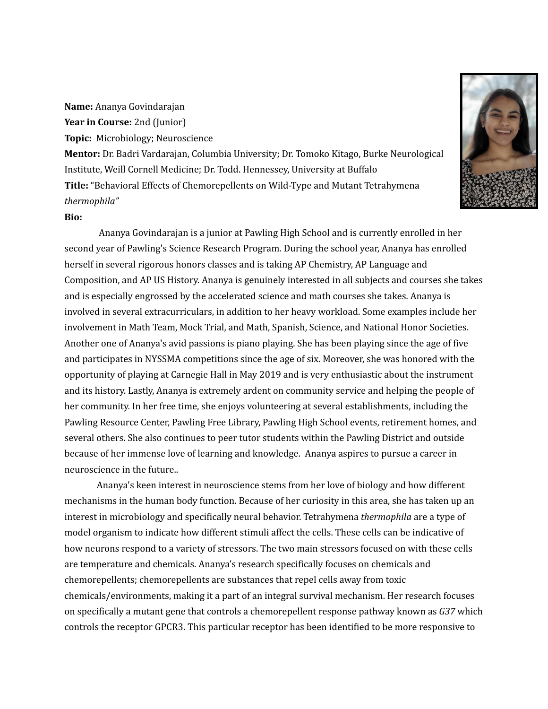**Name:** Ananya Govindarajan **Year in Course:** 2nd (Junior) **Topic:** Microbiology; Neuroscience **Mentor:** Dr. Badri Vardarajan, Columbia University; Dr. Tomoko Kitago, Burke Neurological Institute, Weill Cornell Medicine; Dr. Todd. Hennessey, University at Buffalo **Title:** "Behavioral Effects of Chemorepellents on Wild-Type and Mutant Tetrahymena *thermophila"*

## **Bio:**

Ananya Govindarajan is a junior at Pawling High School and is currently enrolled in her second year of Pawling's Science Research Program. During the school year, Ananya has enrolled herself in several rigorous honors classes and is taking AP Chemistry, AP Language and Composition, and AP US History. Ananya is genuinely interested in all subjects and courses she takes and is especially engrossed by the accelerated science and math courses she takes. Ananya is involved in several extracurriculars, in addition to her heavy workload. Some examples include her involvement in Math Team, Mock Trial, and Math, Spanish, Science, and National Honor Societies. Another one of Ananya's avid passions is piano playing. She has been playing since the age of five and participates in NYSSMA competitions since the age of six. Moreover, she was honored with the opportunity of playing at Carnegie Hall in May 2019 and is very enthusiastic about the instrument and its history. Lastly, Ananya is extremely ardent on community service and helping the people of her community. In her free time, she enjoys volunteering at several establishments, including the Pawling Resource Center, Pawling Free Library, Pawling High School events, retirement homes, and several others. She also continues to peer tutor students within the Pawling District and outside because of her immense love of learning and knowledge. Ananya aspires to pursue a career in neuroscience in the future..

Ananya's keen interest in neuroscience stems from her love of biology and how different mechanisms in the human body function. Because of her curiosity in this area, she has taken up an interest in microbiology and specifically neural behavior. Tetrahymena *thermophila* are a type of model organism to indicate how different stimuli affect the cells. These cells can be indicative of how neurons respond to a variety of stressors. The two main stressors focused on with these cells are temperature and chemicals. Ananya's research specifically focuses on chemicals and chemorepellents; chemorepellents are substances that repel cells away from toxic chemicals/environments, making it a part of an integral survival mechanism. Her research focuses on specifically a mutant gene that controls a chemorepellent response pathway known as *G37* which controls the receptor GPCR3. This particular receptor has been identified to be more responsive to